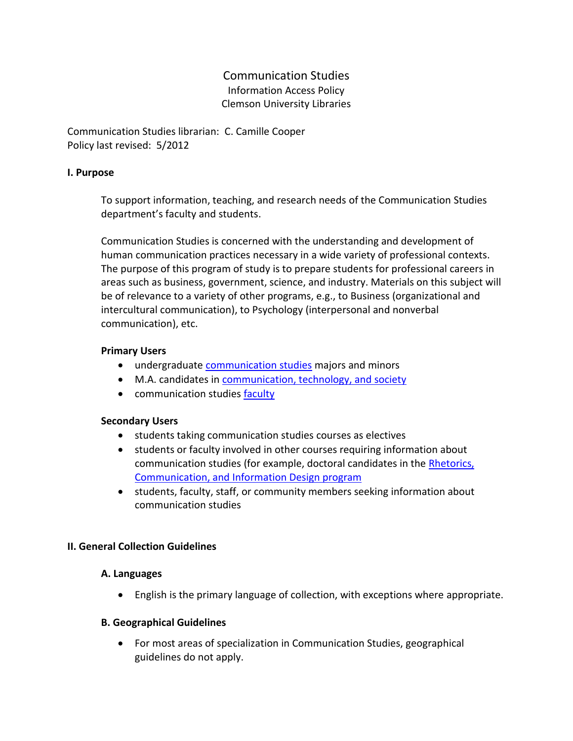# Communication Studies Information Access Policy Clemson University Libraries

Communication Studies librarian: C. Camille Cooper Policy last revised: 5/2012

### **I. Purpose**

To support information, teaching, and research needs of the Communication Studies department's faculty and students.

Communication Studies is concerned with the understanding and development of human communication practices necessary in a wide variety of professional contexts. The purpose of this program of study is to prepare students for professional careers in areas such as business, government, science, and industry. Materials on this subject will be of relevance to a variety of other programs, e.g., to Business (organizational and intercultural communication), to Psychology (interpersonal and nonverbal communication), etc.

### **Primary Users**

- undergraduate **communication studies** majors and minors
- M.A. candidates in [communication, technology, and society](http://www.clemson.edu/caah/communication/graduate/index.html)
- communication studies [faculty](http://www.clemson.edu/caah/communication/faculty-staff/index.html)

#### **Secondary Users**

- students taking communication studies courses as electives
- students or faculty involved in other courses requiring information about communication studies (for example, doctoral candidates in the [Rhetorics,](http://www.clemson.edu/caah/rcid/)  [Communication, and Information Design program](http://www.clemson.edu/caah/rcid/)
- students, faculty, staff, or community members seeking information about communication studies

## **II. General Collection Guidelines**

## **A. Languages**

English is the primary language of collection, with exceptions where appropriate.

#### **B. Geographical Guidelines**

 For most areas of specialization in Communication Studies, geographical guidelines do not apply.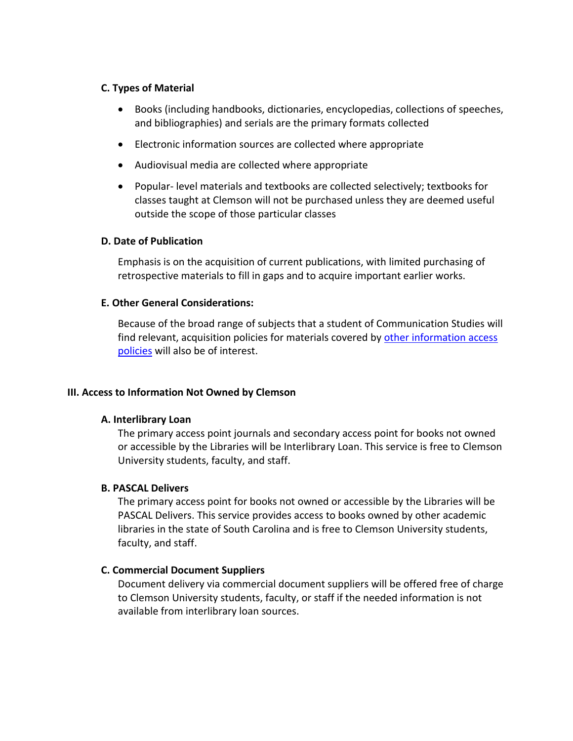#### **C. Types of Material**

- Books (including handbooks, dictionaries, encyclopedias, collections of speeches, and bibliographies) and serials are the primary formats collected
- Electronic information sources are collected where appropriate
- Audiovisual media are collected where appropriate
- Popular- level materials and textbooks are collected selectively; textbooks for classes taught at Clemson will not be purchased unless they are deemed useful outside the scope of those particular classes

#### **D. Date of Publication**

Emphasis is on the acquisition of current publications, with limited purchasing of retrospective materials to fill in gaps and to acquire important earlier works.

### **E. Other General Considerations:**

Because of the broad range of subjects that a student of Communication Studies will find relevant, acquisition policies for materials covered by other [information access](http://www.clemson.edu/library/reference/infoAccessPolicies.html) [policies](http://www.clemson.edu/library/reference/infoAccessPolicies.html) will also be of interest.

#### **III. Access to Information Not Owned by Clemson**

#### **A. Interlibrary Loan**

The primary access point journals and secondary access point for books not owned or accessible by the Libraries will be Interlibrary Loan. This service is free to Clemson University students, faculty, and staff.

#### **B. PASCAL Delivers**

The primary access point for books not owned or accessible by the Libraries will be PASCAL Delivers. This service provides access to books owned by other academic libraries in the state of South Carolina and is free to Clemson University students, faculty, and staff.

## **C. Commercial Document Suppliers**

Document delivery via commercial document suppliers will be offered free of charge to Clemson University students, faculty, or staff if the needed information is not available from interlibrary loan sources.